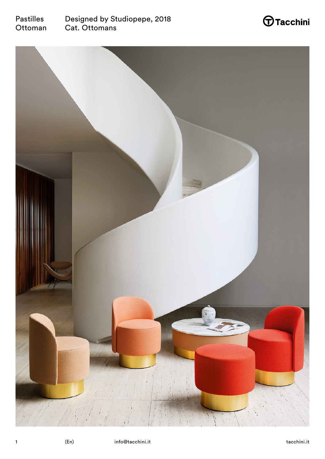



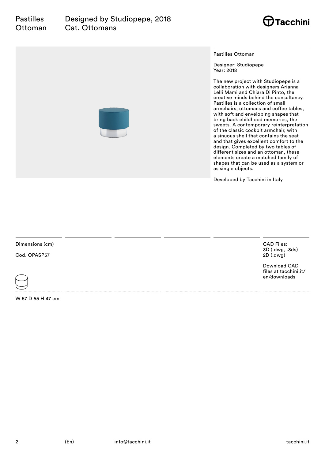

Pastilles Ottoman

Designer: Studiopepe Year: 2018

The new project with Studiopepe is a collaboration with designers Arianna Lelli Mami and Chiara Di Pinto, the creative minds behind the consultancy. Pastilles is a collection of small armchairs, ottomans and coffee tables, with soft and enveloping shapes that bring back childhood memories, the sweets. A contemporary reinterpretation of the classic cockpit armchair, with a sinuous shell that contains the seat and that gives excellent comfort to the design. Completed by two tables of different sizes and an ottoman, these elements create a matched family of shapes that can be used as a system or as single objects.

Developed by Tacchini in Italy

Dimensions (cm)

Cod. OPASP57



W 57 D 55 H 47 cm

CAD Files: 3D (.dwg, .3ds) 2D (.dwg)

Download CAD files at tacchini.it/ en/downloads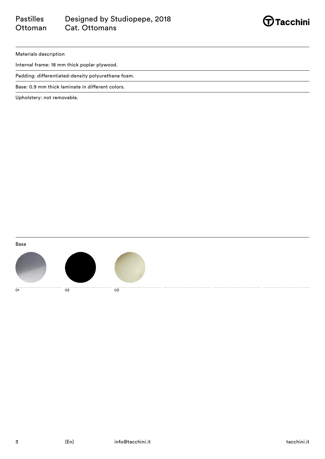#### Pastilles **Ottoman** Designed by Studiopepe, 2018 Cat. Ottomans



Materials description

Internal frame: 18 mm thick poplar plywood.

Padding: differentiated-density polyurethane foam.

Base: 0.9 mm thick laminate in different colors.

Upholstery: not removable.

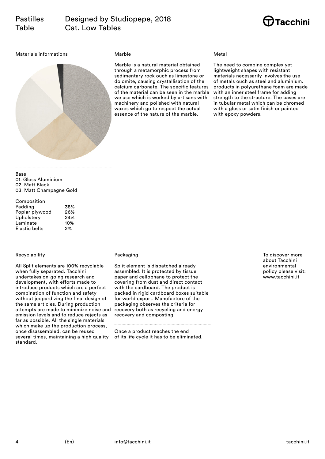

Materials informations



## Marble

Marble is a natural material obtained through a metamorphic process from sedimentary rock ouch as limestone or dolomite, causing crystallisation of the calcium carbonate. The specific features of the material can be seen in the marble we use which is worked by artisans with machinery and polished with natural waxes which go to respect the actual essence of the nature of the marble.

## Metal

The need to combine complex yet lightweight shapes with resistant materials necessarily involves the use of metals ouch as steel and aluminium. products in polyurethane foam are made with an inner steel frame for adding strength to the structure. The bases are in tubular metal which can be chromed with a gloss or satin finish or painted with epoxy powders.

Base 01. Gloss Aluminium 02. Matt Black 03. Matt Champagne Gold

| Composition          |     |
|----------------------|-----|
| Padding              | 38% |
| Poplar plywood       | 26% |
| Upholstery           | 24% |
| Laminate             | 10% |
| <b>Elastic belts</b> | 2%  |

## Recyclability

All Split elements are 100% recyclable when fully separated. Tacchini undertakes on-going research and development, with efforts made to introduce products which are a perfect combination of function and safety without jeopardizing the final design of the same articles. During production attempts are made to minimize noise and emission levels and to reduce rejects as far as possible. All the single materials which make up the production process. once disassembled, can be reused several times, maintaining a high quality standard.

## Packaging

Split element is dispatched already assembled. It is protected by tissue paper and cellophane to protect the covering from dust and direct contact with the cardboard. The product is packed in rigid cardboard boxes suitable for world export. Manufacture of the packaging observes the criteria for recovery both as recycling and energy recovery and composting.

Once a product reaches the end of its life cycle it has to be eliminated. To discover more about Tacchini environmental policy please visit: www.tacchini.it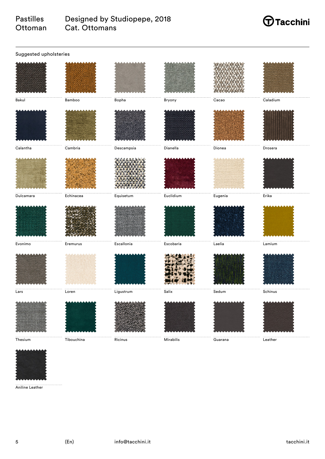#### Pastilles **Ottoman** Designed by Studiopepe, 2018 Cat. Ottomans

# $\bigoplus$ Tacchini

| Suggested upholsteries                                             |            |            |                               |         |               |  |
|--------------------------------------------------------------------|------------|------------|-------------------------------|---------|---------------|--|
|                                                                    |            |            |                               |         |               |  |
| Bakul                                                              | Bamboo     | Bopha      | Bryony                        | Cacao   | Caladium      |  |
|                                                                    |            |            |                               |         |               |  |
| Calantha                                                           | Cambria    | Descampsia | Dianella                      | Dionea  | Drosera       |  |
|                                                                    |            |            |                               |         |               |  |
| $\begin{minipage}{.4\linewidth} \textbf{Dulcamara} \end{minipage}$ | Echinacea  | $Equistum$ | Euclidium                     | Eugenia | Erika         |  |
|                                                                    |            |            |                               |         |               |  |
| Evonimo                                                            | Eremurus   | Escallonia | Escobaria                     | Laelia  | $\sf L$ amium |  |
|                                                                    |            |            |                               |         |               |  |
| Lars                                                               | Loren      | Ligustrum  | Salix                         | Sedum   | Schinus       |  |
|                                                                    |            |            |                               |         |               |  |
| Thesium                                                            | Tibouchina | Ricinus    | $\overline{\text{Mirabilis}}$ | Guarana | Leather       |  |



Aniline Leather